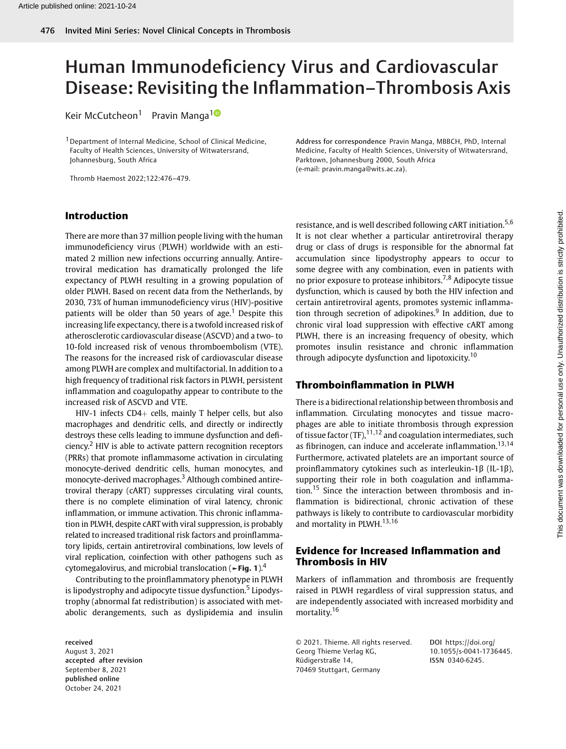# Human Immunodeficiency Virus and Cardiovascular Disease: Revisiting the Inflammation–Thrombosis Axis

Keir McCutcheon<sup>1</sup> Pravin Manga<sup>10</sup>

1Department of Internal Medicine, School of Clinical Medicine, Faculty of Health Sciences, University of Witwatersrand, Johannesburg, South Africa

Thromb Haemost 2022;122:476–479.

Address for correspondence Pravin Manga, MBBCH, PhD, Internal Medicine, Faculty of Health Sciences, University of Witwatersrand, Parktown, Johannesburg 2000, South Africa (e-mail: [pravin.manga@wits.ac.za\)](mailto:pravin.manga@wits.ac.za).

## Introduction

There are more than 37 million people living with the human immunodeficiency virus (PLWH) worldwide with an estimated 2 million new infections occurring annually. Antiretroviral medication has dramatically prolonged the life expectancy of PLWH resulting in a growing population of older PLWH. Based on recent data from the Netherlands, by 2030, 73% of human immunodeficiency virus (HIV)-positive patients will be older than 50 years of age.<sup>1</sup> Despite this increasing life expectancy, there is a twofold increased risk of atherosclerotic cardiovascular disease (ASCVD) and a two- to 10-fold increased risk of venous thromboembolism (VTE). The reasons for the increased risk of cardiovascular disease among PLWH are complex and multifactorial. In addition to a high frequency of traditional risk factors in PLWH, persistent inflammation and coagulopathy appear to contribute to the increased risk of ASCVD and VTE.

HIV-1 infects  $CD4+$  cells, mainly T helper cells, but also macrophages and dendritic cells, and directly or indirectly destroys these cells leading to immune dysfunction and deficiency.<sup>2</sup> HIV is able to activate pattern recognition receptors (PRRs) that promote inflammasome activation in circulating monocyte-derived dendritic cells, human monocytes, and monocyte-derived macrophages.<sup>3</sup> Although combined antiretroviral therapy (cART) suppresses circulating viral counts, there is no complete elimination of viral latency, chronic inflammation, or immune activation. This chronic inflammation in PLWH, despite cARTwith viral suppression, is probably related to increased traditional risk factors and proinflammatory lipids, certain antiretroviral combinations, low levels of viral replication, coinfection with other pathogens such as cytomegalovirus, and microbial translocation ( $\blacktriangleright$ Fig. 1).<sup>4</sup>

Contributing to the proinflammatory phenotype in PLWH is lipodystrophy and adipocyte tissue dysfunction.<sup>5</sup> Lipodystrophy (abnormal fat redistribution) is associated with metabolic derangements, such as dyslipidemia and insulin

received August 3, 2021 accepted after revision September 8, 2021 published online October 24, 2021

resistance, and is well described following cART initiation.5,6 It is not clear whether a particular antiretroviral therapy drug or class of drugs is responsible for the abnormal fat accumulation since lipodystrophy appears to occur to some degree with any combination, even in patients with no prior exposure to protease inhibitors.<sup>7,8</sup> Adipocyte tissue dysfunction, which is caused by both the HIV infection and certain antiretroviral agents, promotes systemic inflammation through secretion of adipokines.<sup>9</sup> In addition, due to chronic viral load suppression with effective cART among PLWH, there is an increasing frequency of obesity, which promotes insulin resistance and chronic inflammation through adipocyte dysfunction and lipotoxicity.<sup>10</sup>

## Thromboinflammation in PLWH

There is a bidirectional relationship between thrombosis and inflammation. Circulating monocytes and tissue macrophages are able to initiate thrombosis through expression of tissue factor (TF),  $11,12$  and coagulation intermediates, such as fibrinogen, can induce and accelerate inflammation.<sup>13,14</sup> Furthermore, activated platelets are an important source of proinflammatory cytokines such as interleukin-1β (IL-1β), supporting their role in both coagulation and inflammation.<sup>15</sup> Since the interaction between thrombosis and inflammation is bidirectional, chronic activation of these pathways is likely to contribute to cardiovascular morbidity and mortality in PLWH.<sup>13,16</sup>

#### Evidence for Increased Inflammation and Thrombosis in HIV

Markers of inflammation and thrombosis are frequently raised in PLWH regardless of viral suppression status, and are independently associated with increased morbidity and mortality.<sup>16</sup>

© 2021. Thieme. All rights reserved. Georg Thieme Verlag KG, Rüdigerstraße 14, 70469 Stuttgart, Germany

DOI [https://doi.org/](https://doi.org/10.1055/s-0041-1736445) [10.1055/s-0041-1736445.](https://doi.org/10.1055/s-0041-1736445) ISSN 0340-6245.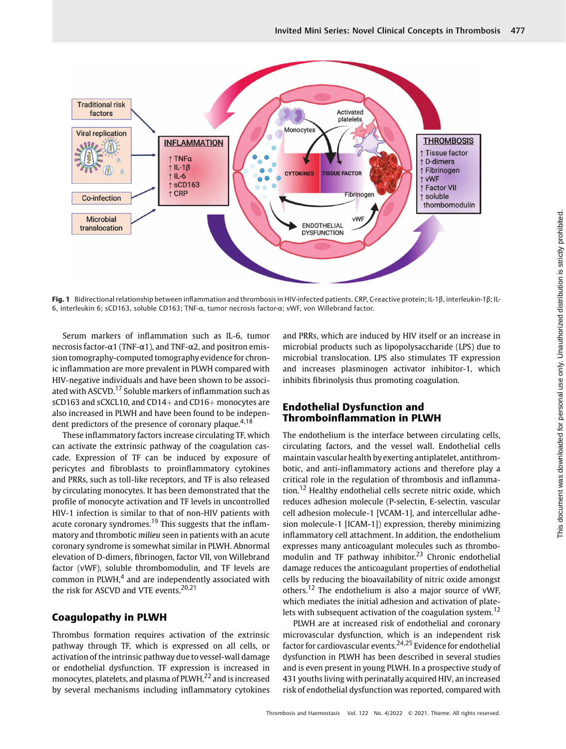

Fig. 1 Bidirectional relationship between inflammation and thrombosis in HIV-infected patients. CRP, C-reactive protein; IL-1β, interleukin-1β; IL-6, interleukin 6; sCD163, soluble CD163; TNF-α, tumor necrosis factor-α; vWF, von Willebrand factor.

Serum markers of inflammation such as IL-6, tumor necrosis factor-α1 (TNF-α1), and TNF-α2, and positron emission tomography-computed tomography evidence for chronic inflammation are more prevalent in PLWH compared with HIV-negative individuals and have been shown to be associated with ASCVD.<sup>17</sup> Soluble markers of inflammation such as sCD163 and sCXCL10, and CD14 $+$  and CD16 $+$  monocytes are also increased in PLWH and have been found to be independent predictors of the presence of coronary plaque.<sup>4,18</sup>

These inflammatory factors increase circulating TF, which can activate the extrinsic pathway of the coagulation cascade. Expression of TF can be induced by exposure of pericytes and fibroblasts to proinflammatory cytokines and PRRs, such as toll-like receptors, and TF is also released by circulating monocytes. It has been demonstrated that the profile of monocyte activation and TF levels in uncontrolled HIV-1 infection is similar to that of non-HIV patients with acute coronary syndromes.<sup>19</sup> This suggests that the inflammatory and thrombotic milieu seen in patients with an acute coronary syndrome is somewhat similar in PLWH. Abnormal elevation of D-dimers, fibrinogen, factor VII, von Willebrand factor (vWF), soluble thrombomodulin, and TF levels are common in  $PLWH$ ,<sup>4</sup> and are independently associated with the risk for ASCVD and VTE events.<sup>20,21</sup>

#### Coagulopathy in PLWH

Thrombus formation requires activation of the extrinsic pathway through TF, which is expressed on all cells, or activation of the intrinsic pathway due to vessel-wall damage or endothelial dysfunction. TF expression is increased in monocytes, platelets, and plasma of PLWH,<sup>22</sup> and is increased by several mechanisms including inflammatory cytokines and PRRs, which are induced by HIV itself or an increase in microbial products such as lipopolysaccharide (LPS) due to microbial translocation. LPS also stimulates TF expression and increases plasminogen activator inhibitor-1, which inhibits fibrinolysis thus promoting coagulation.

#### Endothelial Dysfunction and Thromboinflammation in PLWH

The endothelium is the interface between circulating cells, circulating factors, and the vessel wall. Endothelial cells maintain vascular health by exerting antiplatelet, antithrombotic, and anti-inflammatory actions and therefore play a critical role in the regulation of thrombosis and inflammation.<sup>12</sup> Healthy endothelial cells secrete nitric oxide, which reduces adhesion molecule (P-selectin, E-selectin, vascular cell adhesion molecule-1 [VCAM-1], and intercellular adhesion molecule-1 [ICAM-1]) expression, thereby minimizing inflammatory cell attachment. In addition, the endothelium expresses many anticoagulant molecules such as thrombomodulin and TF pathway inhibitor.<sup>23</sup> Chronic endothelial damage reduces the anticoagulant properties of endothelial cells by reducing the bioavailability of nitric oxide amongst others.<sup>12</sup> The endothelium is also a major source of vWF, which mediates the initial adhesion and activation of platelets with subsequent activation of the coagulation system.<sup>12</sup>

PLWH are at increased risk of endothelial and coronary microvascular dysfunction, which is an independent risk factor for cardiovascular events. $24,25$  Evidence for endothelial dysfunction in PLWH has been described in several studies and is even present in young PLWH. In a prospective study of 431 youths living with perinatally acquired HIV, an increased risk of endothelial dysfunction was reported, compared with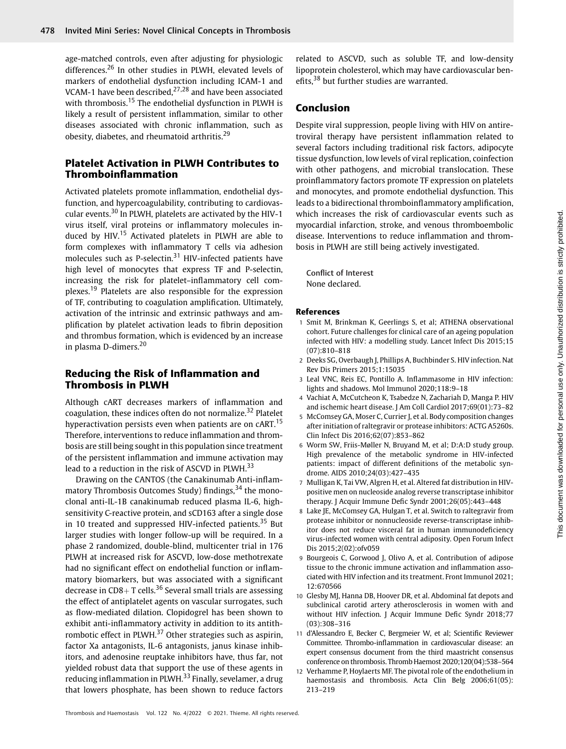age-matched controls, even after adjusting for physiologic differences.<sup>26</sup> In other studies in PLWH, elevated levels of markers of endothelial dysfunction including ICAM-1 and VCAM-1 have been described,27,28 and have been associated with thrombosis.<sup>15</sup> The endothelial dysfunction in PLWH is likely a result of persistent inflammation, similar to other diseases associated with chronic inflammation, such as obesity, diabetes, and rheumatoid arthritis.<sup>29</sup>

## Platelet Activation in PLWH Contributes to Thromboinflammation

Activated platelets promote inflammation, endothelial dysfunction, and hypercoagulability, contributing to cardiovascular events.<sup>30</sup> In PLWH, platelets are activated by the HIV-1 virus itself, viral proteins or inflammatory molecules induced by HIV.<sup>15</sup> Activated platelets in PLWH are able to form complexes with inflammatory T cells via adhesion molecules such as P-selectin.<sup>31</sup> HIV-infected patients have high level of monocytes that express TF and P-selectin, increasing the risk for platelet–inflammatory cell complexes.<sup>19</sup> Platelets are also responsible for the expression of TF, contributing to coagulation amplification. Ultimately, activation of the intrinsic and extrinsic pathways and amplification by platelet activation leads to fibrin deposition and thrombus formation, which is evidenced by an increase in plasma D-dimers.<sup>20</sup>

# Reducing the Risk of Inflammation and Thrombosis in PLWH

Although cART decreases markers of inflammation and coagulation, these indices often do not normalize.<sup>32</sup> Platelet hyperactivation persists even when patients are on cART.<sup>15</sup> Therefore, interventions to reduce inflammation and thrombosis are still being sought in this population since treatment of the persistent inflammation and immune activation may lead to a reduction in the risk of ASCVD in PLWH.<sup>33</sup>

Drawing on the CANTOS (the Canakinumab Anti-inflammatory Thrombosis Outcomes Study) findings,  $34$  the monoclonal anti-IL-1B canakinumab reduced plasma IL-6, highsensitivity C-reactive protein, and sCD163 after a single dose in 10 treated and suppressed HIV-infected patients.<sup>35</sup> But larger studies with longer follow-up will be required. In a phase 2 randomized, double-blind, multicenter trial in 176 PLWH at increased risk for ASCVD, low-dose methotrexate had no significant effect on endothelial function or inflammatory biomarkers, but was associated with a significant decrease in  $CD8+T$  cells.<sup>36</sup> Several small trials are assessing the effect of antiplatelet agents on vascular surrogates, such as flow-mediated dilation. Clopidogrel has been shown to exhibit anti-inflammatory activity in addition to its antithrombotic effect in PLWH.<sup>37</sup> Other strategies such as aspirin, factor Xa antagonists, IL-6 antagonists, janus kinase inhibitors, and adenosine reuptake inhibitors have, thus far, not yielded robust data that support the use of these agents in reducing inflammation in PLWH.<sup>33</sup> Finally, sevelamer, a drug that lowers phosphate, has been shown to reduce factors

related to ASCVD, such as soluble TF, and low-density lipoprotein cholesterol, which may have cardiovascular benefits,<sup>38</sup> but further studies are warranted.

# Conclusion

Despite viral suppression, people living with HIV on antiretroviral therapy have persistent inflammation related to several factors including traditional risk factors, adipocyte tissue dysfunction, low levels of viral replication, coinfection with other pathogens, and microbial translocation. These proinflammatory factors promote TF expression on platelets and monocytes, and promote endothelial dysfunction. This leads to a bidirectional thromboinflammatory amplification, which increases the risk of cardiovascular events such as myocardial infarction, stroke, and venous thromboembolic disease. Interventions to reduce inflammation and thrombosis in PLWH are still being actively investigated.

Conflict of Interest None declared.

#### References

- 1 Smit M, Brinkman K, Geerlings S, et al; ATHENA observational cohort. Future challenges for clinical care of an ageing population infected with HIV: a modelling study. Lancet Infect Dis 2015;15 (07):810–818
- 2 Deeks SG, Overbaugh J, Phillips A, Buchbinder S. HIV infection. Nat Rev Dis Primers 2015;1:15035
- 3 Leal VNC, Reis EC, Pontillo A. Inflammasome in HIV infection: lights and shadows. Mol Immunol 2020;118:9–18
- 4 Vachiat A, McCutcheon K, Tsabedze N, Zachariah D, Manga P. HIV and ischemic heart disease. J Am Coll Cardiol 2017;69(01):73–82
- 5 McComsey GA, Moser C, Currier J, et al. Body composition changes after initiation of raltegravir or protease inhibitors: ACTG A5260s. Clin Infect Dis 2016;62(07):853–862
- 6 Worm SW, Friis-Møller N, Bruyand M, et al; D:A:D study group. High prevalence of the metabolic syndrome in HIV-infected patients: impact of different definitions of the metabolic syndrome. AIDS 2010;24(03):427–435
- 7 Mulligan K, Tai VW, Algren H, et al. Altered fat distribution in HIVpositive men on nucleoside analog reverse transcriptase inhibitor therapy. J Acquir Immune Defic Syndr 2001;26(05):443–448
- 8 Lake JE, McComsey GA, Hulgan T, et al. Switch to raltegravir from protease inhibitor or nonnucleoside reverse-transcriptase inhibitor does not reduce visceral fat in human immunodeficiency virus-infected women with central adiposity. Open Forum Infect Dis 2015;2(02):ofv059
- 9 Bourgeois C, Gorwood J, Olivo A, et al. Contribution of adipose tissue to the chronic immune activation and inflammation associated with HIV infection and its treatment. Front Immunol 2021; 12:670566
- 10 Glesby MJ, Hanna DB, Hoover DR, et al. Abdominal fat depots and subclinical carotid artery atherosclerosis in women with and without HIV infection. J Acquir Immune Defic Syndr 2018;77 (03):308–316
- 11 d'Alessandro E, Becker C, Bergmeier W, et al; Scientific Reviewer Committee. Thrombo-inflammation in cardiovascular disease: an expert consensus document from the third maastricht consensus conference on thrombosis. Thromb Haemost 2020;120(04):538–564
- 12 Verhamme P, Hoylaerts MF. The pivotal role of the endothelium in haemostasis and thrombosis. Acta Clin Belg 2006;61(05): 213–219